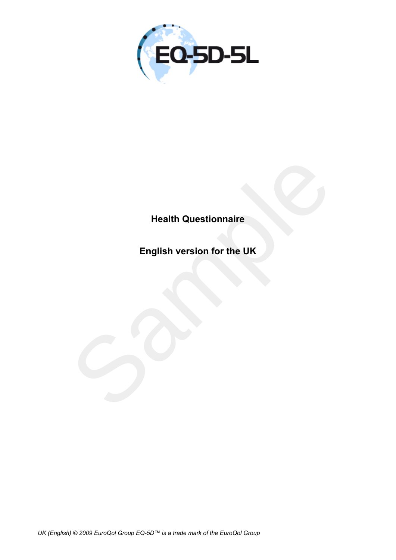

## **Health Questionnaire**

Health Questionnaire<br>English version for the UK<br>Sample of the UK<br>Sample of the UK **English version for the UK**

*UK (English) © 2009 EuroQol Group EQ-5D™ is a trade mark of the EuroQol Group*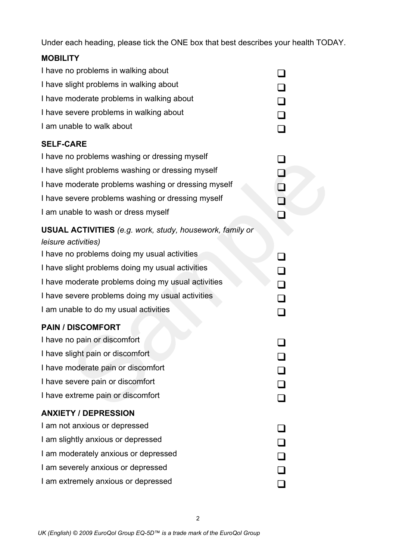Under each heading, please tick the ONE box that best describes your health TODAY.

## **MOBILITY**

| I have no problems in walking about                                                           |  |
|-----------------------------------------------------------------------------------------------|--|
| I have slight problems in walking about                                                       |  |
| I have moderate problems in walking about                                                     |  |
| I have severe problems in walking about                                                       |  |
| I am unable to walk about                                                                     |  |
| <b>SELF-CARE</b>                                                                              |  |
| I have no problems washing or dressing myself                                                 |  |
| I have slight problems washing or dressing myself                                             |  |
| I have moderate problems washing or dressing myself                                           |  |
| I have severe problems washing or dressing myself                                             |  |
| I am unable to wash or dress myself                                                           |  |
| <b>USUAL ACTIVITIES</b> (e.g. work, study, housework, family or<br><i>leisure activities)</i> |  |
| I have no problems doing my usual activities                                                  |  |
| I have slight problems doing my usual activities                                              |  |
| I have moderate problems doing my usual activities                                            |  |
| I have severe problems doing my usual activities                                              |  |
| I am unable to do my usual activities                                                         |  |
| <b>PAIN / DISCOMFORT</b>                                                                      |  |
| I have no pain or discomfort                                                                  |  |
| I have slight pain or discomfort                                                              |  |
| I have moderate pain or discomfort                                                            |  |
| I have severe pain or discomfort                                                              |  |
| I have extreme pain or discomfort                                                             |  |
| <b>ANXIETY / DEPRESSION</b>                                                                   |  |
| I am not anxious or depressed                                                                 |  |
| I am slightly anxious or depressed                                                            |  |
| I am moderately anxious or depressed                                                          |  |
| I am severely anxious or depressed                                                            |  |
| I am extremely anxious or depressed                                                           |  |